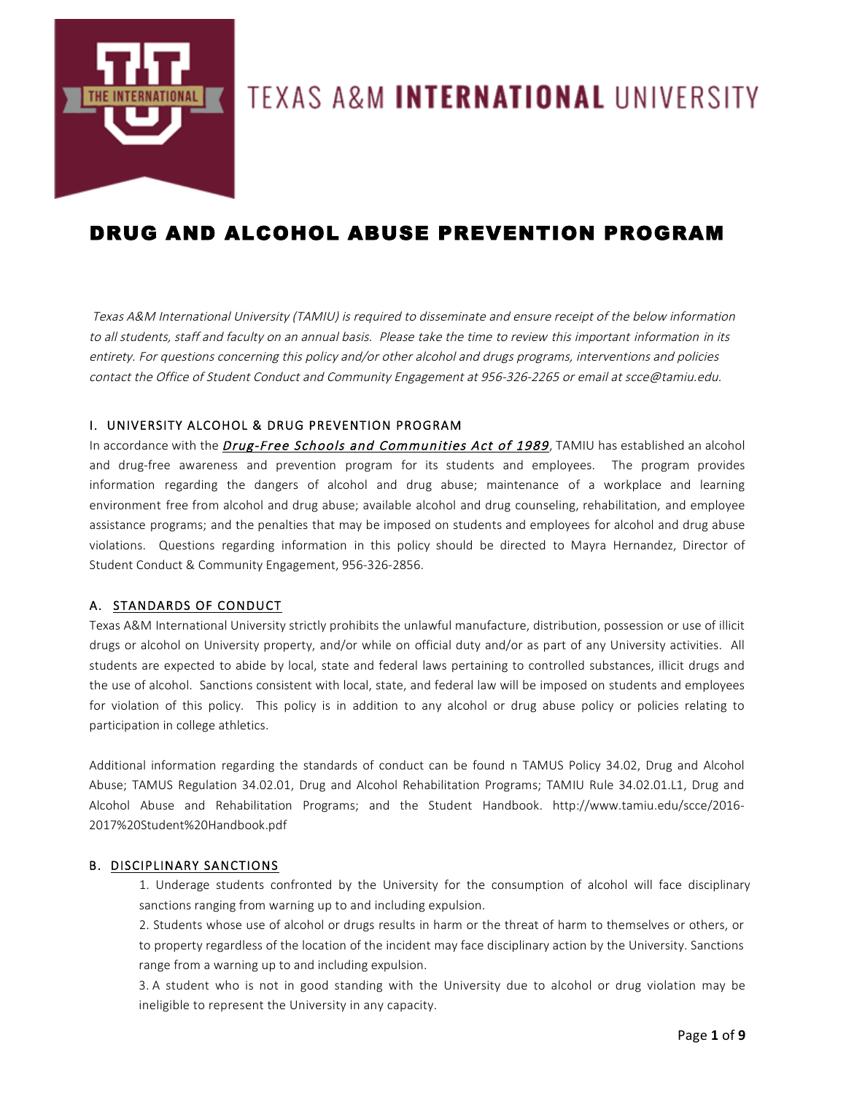

# TEXAS A&M **INTERNATIONAL** UNIVERSITY

# DRUG AND ALCOHOL ABUSE PREVENTION PROGRAM

Texas A&M International University (TAMIU) is required to disseminate and ensure receipt of the below information to all students, staff and faculty on an annual basis. Please take the time to review this important information in its entirety. For questions concerning this policy and/or other alcohol and drugs programs, interventions and policies contact the Office of Student Conduct and Community Engagement at 956-326-2265 or email at scce@tamiu.edu.

# I. UNIVERSITY ALCOHOL & DRUG PREVENTION PROGRAM

In accordance with the **Drug-Free Schools and Communities Act of 1989**, TAMIU has established an alcohol and drug-free awareness and prevention program for its students and employees. The program provides information regarding the dangers of alcohol and drug abuse; maintenance of a workplace and learning environment free from alcohol and drug abuse; available alcohol and drug counseling, rehabilitation, and employee assistance programs; and the penalties that may be imposed on students and employees for alcohol and drug abuse violations. Questions regarding information in this policy should be directed to Mayra Hernandez, Director of Student Conduct & Community Engagement, 956-326-2856.

## A. STANDARDS OF CONDUCT

Texas A&M International University strictly prohibits the unlawful manufacture, distribution, possession or use of illicit drugs or alcohol on University property, and/or while on official duty and/or as part of any University activities. All students are expected to abide by local, state and federal laws pertaining to controlled substances, illicit drugs and the use of alcohol. Sanctions consistent with local, state, and federal law will be imposed on students and employees for violation of this policy. This policy is in addition to any alcohol or drug abuse policy or policies relating to participation in college athletics.

Additional information regarding the standards of conduct can be found n TAMUS Policy 34.02, Drug and Alcohol Abuse; TAMUS Regulation 34.02.01, Drug and Alcohol Rehabilitation Programs; TAMIU Rule 34.02.01.L1, Drug and Alcohol Abuse and Rehabilitation Programs; and the Student Handbook. http://www.tamiu.edu/scce/2016- 2017%20Student%20Handbook.pdf

## B. DISCIPLINARY SANCTIONS

1. Underage students confronted by the University for the consumption of alcohol will face disciplinary sanctions ranging from warning up to and including expulsion.

2. Students whose use of alcohol or drugs results in harm or the threat of harm to themselves or others, or to property regardless of the location of the incident may face disciplinary action by the University. Sanctions range from a warning up to and including expulsion.

3. A student who is not in good standing with the University due to alcohol or drug violation may be ineligible to represent the University in any capacity.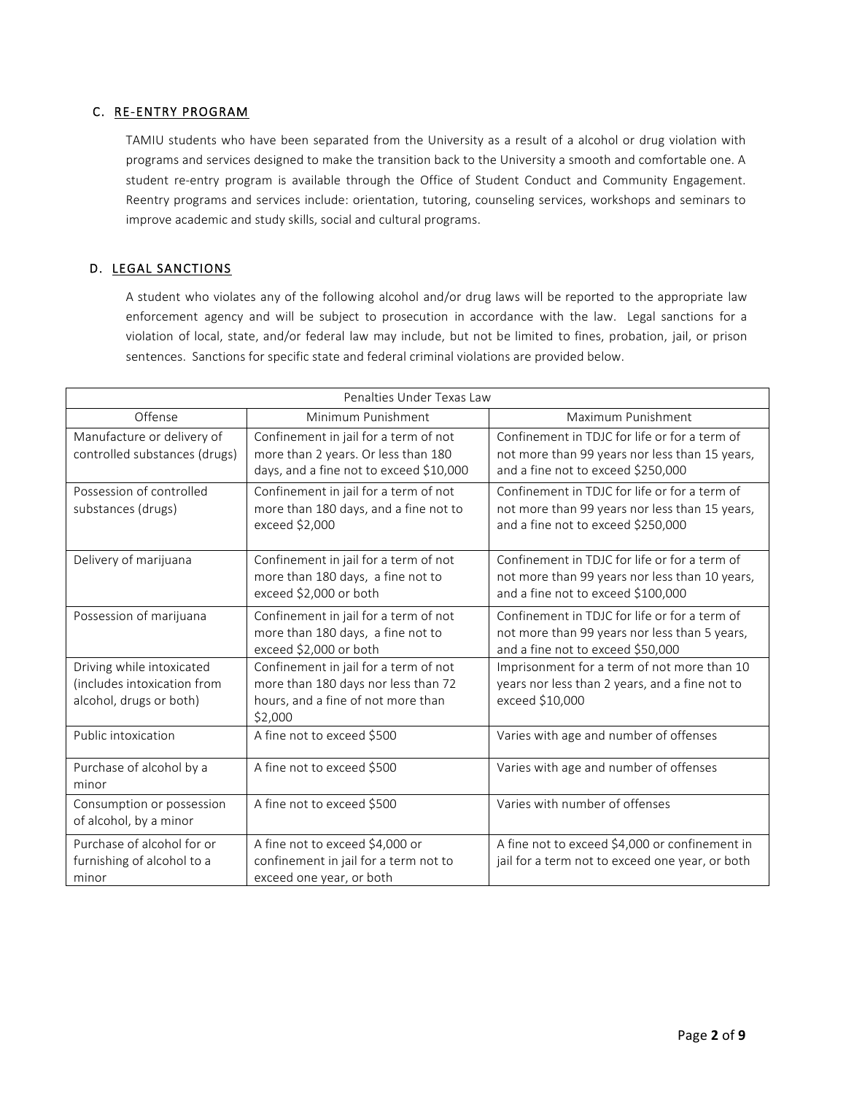# C. RE-ENTRY PROGRAM

TAMIU students who have been separated from the University as a result of a alcohol or drug violation with programs and services designed to make the transition back to the University a smooth and comfortable one. A student re-entry program is available through the Office of Student Conduct and Community Engagement. Reentry programs and services include: orientation, tutoring, counseling services, workshops and seminars to improve academic and study skills, social and cultural programs.

# D. LEGAL SANCTIONS

A student who violates any of the following alcohol and/or drug laws will be reported to the appropriate law enforcement agency and will be subject to prosecution in accordance with the law. Legal sanctions for a violation of local, state, and/or federal law may include, but not be limited to fines, probation, jail, or prison sentences. Sanctions for specific state and federal criminal violations are provided below.

| Penalties Under Texas Law                                                           |                                                                                                                               |                                                                                                                                       |  |  |  |
|-------------------------------------------------------------------------------------|-------------------------------------------------------------------------------------------------------------------------------|---------------------------------------------------------------------------------------------------------------------------------------|--|--|--|
| Offense                                                                             | Minimum Punishment                                                                                                            | Maximum Punishment                                                                                                                    |  |  |  |
| Manufacture or delivery of<br>controlled substances (drugs)                         | Confinement in jail for a term of not<br>more than 2 years. Or less than 180<br>days, and a fine not to exceed \$10,000       | Confinement in TDJC for life or for a term of<br>not more than 99 years nor less than 15 years,<br>and a fine not to exceed \$250,000 |  |  |  |
| Possession of controlled<br>substances (drugs)                                      | Confinement in jail for a term of not<br>more than 180 days, and a fine not to<br>exceed \$2,000                              | Confinement in TDJC for life or for a term of<br>not more than 99 years nor less than 15 years,<br>and a fine not to exceed \$250,000 |  |  |  |
| Delivery of marijuana                                                               | Confinement in jail for a term of not<br>more than 180 days, a fine not to<br>exceed \$2,000 or both                          | Confinement in TDJC for life or for a term of<br>not more than 99 years nor less than 10 years,<br>and a fine not to exceed \$100,000 |  |  |  |
| Possession of marijuana                                                             | Confinement in jail for a term of not<br>more than 180 days, a fine not to<br>exceed \$2,000 or both                          | Confinement in TDJC for life or for a term of<br>not more than 99 years nor less than 5 years,<br>and a fine not to exceed \$50,000   |  |  |  |
| Driving while intoxicated<br>(includes intoxication from<br>alcohol, drugs or both) | Confinement in jail for a term of not<br>more than 180 days nor less than 72<br>hours, and a fine of not more than<br>\$2,000 | Imprisonment for a term of not more than 10<br>years nor less than 2 years, and a fine not to<br>exceed \$10,000                      |  |  |  |
| Public intoxication                                                                 | A fine not to exceed \$500                                                                                                    | Varies with age and number of offenses                                                                                                |  |  |  |
| Purchase of alcohol by a<br>minor                                                   | A fine not to exceed \$500                                                                                                    | Varies with age and number of offenses                                                                                                |  |  |  |
| Consumption or possession<br>of alcohol, by a minor                                 | A fine not to exceed \$500                                                                                                    | Varies with number of offenses                                                                                                        |  |  |  |
| Purchase of alcohol for or<br>furnishing of alcohol to a<br>minor                   | A fine not to exceed \$4,000 or<br>confinement in jail for a term not to<br>exceed one year, or both                          | A fine not to exceed \$4,000 or confinement in<br>jail for a term not to exceed one year, or both                                     |  |  |  |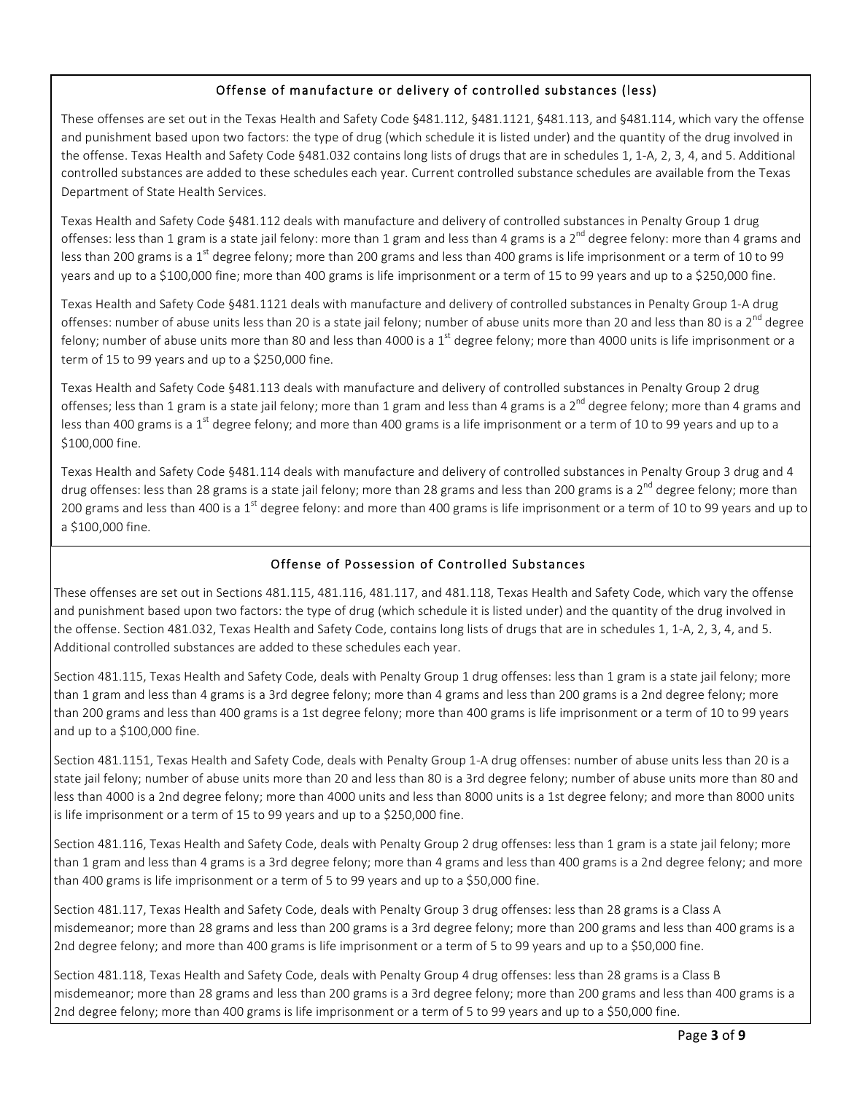# Offense of manufacture or delivery of controlled substances (less)

These offenses are set out in the Texas Health and Safety Code §481.112, §481.1121, §481.113, and §481.114, which vary the offense and punishment based upon two factors: the type of drug (which schedule it is listed under) and the quantity of the drug involved in the offense. Texas Health and Safety Code §481.032 contains long lists of drugs that are in schedules 1, 1-A, 2, 3, 4, and 5. Additional controlled substances are added to these schedules each year. Current controlled substance schedules are available from the Texas Department of State Health Services.

Texas Health and Safety Code §481.112 deals with manufacture and delivery of controlled substances in Penalty Group 1 drug offenses: less than 1 gram is a state jail felony: more than 1 gram and less than 4 grams is a  $2^{nd}$  degree felony: more than 4 grams and less than 200 grams is a 1<sup>st</sup> degree felony; more than 200 grams and less than 400 grams is life imprisonment or a term of 10 to 99 years and up to a \$100,000 fine; more than 400 grams is life imprisonment or a term of 15 to 99 years and up to a \$250,000 fine.

Texas Health and Safety Code §481.1121 deals with manufacture and delivery of controlled substances in Penalty Group 1-A drug offenses: number of abuse units less than 20 is a state jail felony; number of abuse units more than 20 and less than 80 is a 2<sup>nd</sup> degree felony; number of abuse units more than 80 and less than 4000 is a  $1^{\text{st}}$  degree felony; more than 4000 units is life imprisonment or a term of 15 to 99 years and up to a \$250,000 fine.

Texas Health and Safety Code §481.113 deals with manufacture and delivery of controlled substances in Penalty Group 2 drug offenses; less than 1 gram is a state jail felony; more than 1 gram and less than 4 grams is a 2<sup>nd</sup> degree felony; more than 4 grams and less than 400 grams is a 1<sup>st</sup> degree felony; and more than 400 grams is a life imprisonment or a term of 10 to 99 years and up to a \$100,000 fine.

Texas Health and Safety Code §481.114 deals with manufacture and delivery of controlled substances in Penalty Group 3 drug and 4 drug offenses: less than 28 grams is a state jail felony; more than 28 grams and less than 200 grams is a 2<sup>nd</sup> degree felony; more than 200 grams and less than 400 is a 1<sup>st</sup> degree felony: and more than 400 grams is life imprisonment or a term of 10 to 99 years and up to a \$100,000 fine.

# Offense of Possession of Controlled Substances

These offenses are set out in Sections 481.115, 481.116, 481.117, and 481.118, Texas Health and Safety Code, which vary the offense and punishment based upon two factors: the type of drug (which schedule it is listed under) and the quantity of the drug involved in the offense. Section 481.032, Texas Health and Safety Code, contains long lists of drugs that are in schedules 1, 1-A, 2, 3, 4, and 5. Additional controlled substances are added to these schedules each year.

Section 481.115, Texas Health and Safety Code, deals with Penalty Group 1 drug offenses: less than 1 gram is a state jail felony; more than 1 gram and less than 4 grams is a 3rd degree felony; more than 4 grams and less than 200 grams is a 2nd degree felony; more than 200 grams and less than 400 grams is a 1st degree felony; more than 400 grams is life imprisonment or a term of 10 to 99 years and up to a \$100,000 fine.

Section 481.1151, Texas Health and Safety Code, deals with Penalty Group 1-A drug offenses: number of abuse units less than 20 is a state jail felony; number of abuse units more than 20 and less than 80 is a 3rd degree felony; number of abuse units more than 80 and less than 4000 is a 2nd degree felony; more than 4000 units and less than 8000 units is a 1st degree felony; and more than 8000 units is life imprisonment or a term of 15 to 99 years and up to a \$250,000 fine.

Section 481.116, Texas Health and Safety Code, deals with Penalty Group 2 drug offenses: less than 1 gram is a state jail felony; more than 1 gram and less than 4 grams is a 3rd degree felony; more than 4 grams and less than 400 grams is a 2nd degree felony; and more than 400 grams is life imprisonment or a term of 5 to 99 years and up to a \$50,000 fine.

Section 481.117, Texas Health and Safety Code, deals with Penalty Group 3 drug offenses: less than 28 grams is a Class A misdemeanor; more than 28 grams and less than 200 grams is a 3rd degree felony; more than 200 grams and less than 400 grams is a 2nd degree felony; and more than 400 grams is life imprisonment or a term of 5 to 99 years and up to a \$50,000 fine.

Section 481.118, Texas Health and Safety Code, deals with Penalty Group 4 drug offenses: less than 28 grams is a Class B misdemeanor; more than 28 grams and less than 200 grams is a 3rd degree felony; more than 200 grams and less than 400 grams is a 2nd degree felony; more than 400 grams is life imprisonment or a term of 5 to 99 years and up to a \$50,000 fine.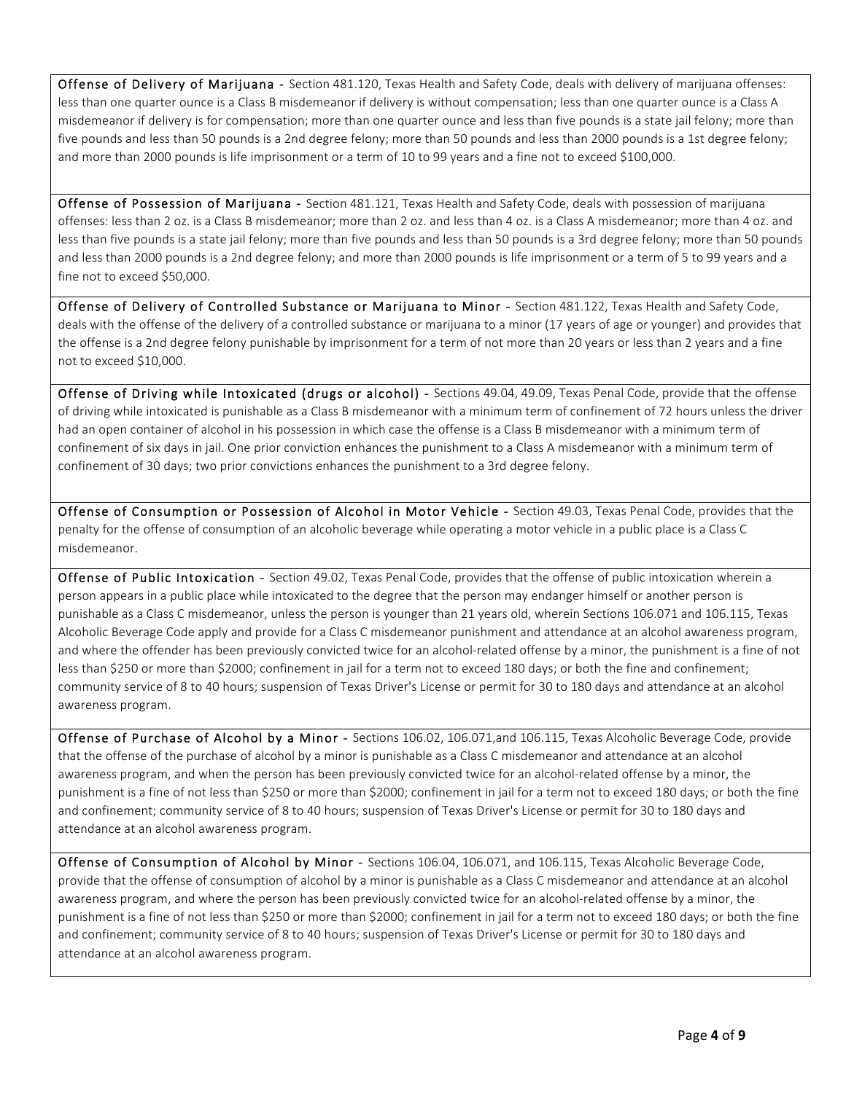Offense of Delivery of Marijuana - Section 481.120, Texas Health and Safety Code, deals with delivery of marijuana offenses: less than one quarter ounce is a Class B misdemeanor if delivery is without compensation; less than one quarter ounce is a Class A misdemeanor if delivery is for compensation; more than one quarter ounce and less than five pounds is a state jail felony; more than five pounds and less than 50 pounds is a 2nd degree felony; more than 50 pounds and less than 2000 pounds is a 1st degree felony; and more than 2000 pounds is life imprisonment or a term of 10 to 99 years and a fine not to exceed \$100,000.

Offense of Possession of Marijuana - Section 481.121, Texas Health and Safety Code, deals with possession of marijuana offenses: less than 2 oz. is a Class B misdemeanor; more than 2 oz. and less than 4 oz. is a Class A misdemeanor; more than 4 oz. and less than five pounds is a state jail felony; more than five pounds and less than 50 pounds is a 3rd degree felony; more than 50 pounds and less than 2000 pounds is a 2nd degree felony; and more than 2000 pounds is life imprisonment or a term of 5 to 99 years and a fine not to exceed \$50,000.

Offense of Delivery of Controlled Substance or Marijuana to Minor - Section 481.122, Texas Health and Safety Code, deals with the offense of the delivery of a controlled substance or marijuana to a minor (17 years of age or younger) and provides that the offense is a 2nd degree felony punishable by imprisonment for a term of not more than 20 years or less than 2 years and a fine not to exceed \$10,000.

Offense of Driving while Intoxicated (drugs or alcohol) - Sections 49.04, 49.09, Texas Penal Code, provide that the offense of driving while intoxicated is punishable as a Class B misdemeanor with a minimum term of confinement of 72 hours unless the driver had an open container of alcohol in his possession in which case the offense is a Class B misdemeanor with a minimum term of confinement of six days in jail. One prior conviction enhances the punishment to a Class A misdemeanor with a minimum term of confinement of 30 days; two prior convictions enhances the punishment to a 3rd degree felony.

Offense of Consumption or Possession of Alcohol in Motor Vehicle - Section 49.03, Texas Penal Code, provides that the penalty for the offense of consumption of an alcoholic beverage while operating a motor vehicle in a public place is a Class C misdemeanor.

Offense of Public Intoxication - Section 49.02, Texas Penal Code, provides that the offense of public intoxication wherein a person appears in a public place while intoxicated to the degree that the person may endanger himself or another person is punishable as a Class C misdemeanor, unless the person is younger than 21 years old, wherein Sections 106.071 and 106.115, Texas Alcoholic Beverage Code apply and provide for a Class C misdemeanor punishment and attendance at an alcohol awareness program, and where the offender has been previously convicted twice for an alcohol-related offense by a minor, the punishment is a fine of not less than \$250 or more than \$2000; confinement in jail for a term not to exceed 180 days; or both the fine and confinement; community service of 8 to 40 hours; suspension of Texas Driver's License or permit for 30 to 180 days and attendance at an alcohol awareness program.

Offense of Purchase of Alcohol by a Minor - Sections 106.02, 106.071,and 106.115, Texas Alcoholic Beverage Code, provide that the offense of the purchase of alcohol by a minor is punishable as a Class C misdemeanor and attendance at an alcohol awareness program, and when the person has been previously convicted twice for an alcohol-related offense by a minor, the punishment is a fine of not less than \$250 or more than \$2000; confinement in jail for a term not to exceed 180 days; or both the fine and confinement; community service of 8 to 40 hours; suspension of Texas Driver's License or permit for 30 to 180 days and attendance at an alcohol awareness program.

Offense of Consumption of Alcohol by Minor - Sections 106.04, 106.071, and 106.115, Texas Alcoholic Beverage Code, provide that the offense of consumption of alcohol by a minor is punishable as a Class C misdemeanor and attendance at an alcohol awareness program, and where the person has been previously convicted twice for an alcohol-related offense by a minor, the punishment is a fine of not less than \$250 or more than \$2000; confinement in jail for a term not to exceed 180 days; or both the fine and confinement; community service of 8 to 40 hours; suspension of Texas Driver's License or permit for 30 to 180 days and attendance at an alcohol awareness program.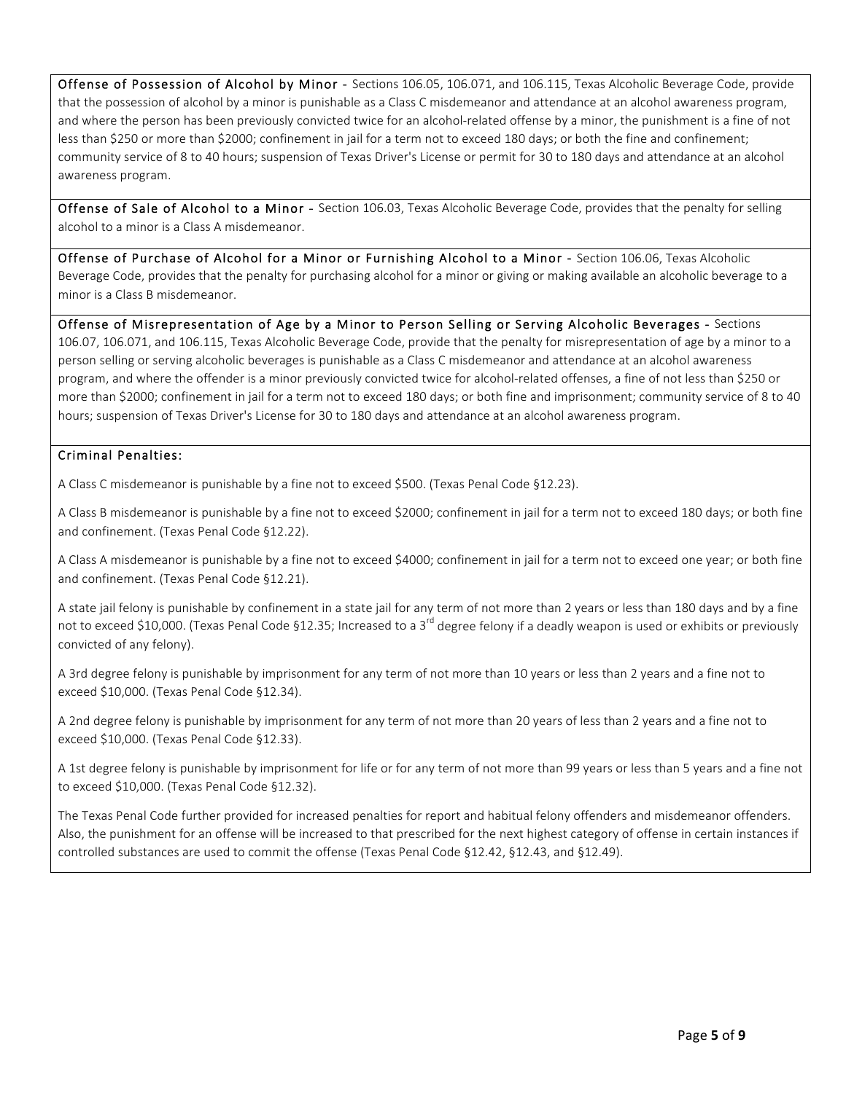Offense of Possession of Alcohol by Minor - Sections 106.05, 106.071, and 106.115, Texas Alcoholic Beverage Code, provide that the possession of alcohol by a minor is punishable as a Class C misdemeanor and attendance at an alcohol awareness program, and where the person has been previously convicted twice for an alcohol-related offense by a minor, the punishment is a fine of not less than \$250 or more than \$2000; confinement in jail for a term not to exceed 180 days; or both the fine and confinement; community service of 8 to 40 hours; suspension of Texas Driver's License or permit for 30 to 180 days and attendance at an alcohol awareness program.

Offense of Sale of Alcohol to a Minor - Section 106.03, Texas Alcoholic Beverage Code, provides that the penalty for selling alcohol to a minor is a Class A misdemeanor.

Offense of Purchase of Alcohol for a Minor or Furnishing Alcohol to a Minor - Section 106.06, Texas Alcoholic Beverage Code, provides that the penalty for purchasing alcohol for a minor or giving or making available an alcoholic beverage to a minor is a Class B misdemeanor.

Offense of Misrepresentation of Age by a Minor to Person Selling or Serving Alcoholic Beverages - Sections 106.07, 106.071, and 106.115, Texas Alcoholic Beverage Code, provide that the penalty for misrepresentation of age by a minor to a person selling or serving alcoholic beverages is punishable as a Class C misdemeanor and attendance at an alcohol awareness program, and where the offender is a minor previously convicted twice for alcohol-related offenses, a fine of not less than \$250 or more than \$2000; confinement in jail for a term not to exceed 180 days; or both fine and imprisonment; community service of 8 to 40 hours; suspension of Texas Driver's License for 30 to 180 days and attendance at an alcohol awareness program.

# Criminal Penalties:

A Class C misdemeanor is punishable by a fine not to exceed \$500. (Texas Penal Code §12.23).

A Class B misdemeanor is punishable by a fine not to exceed \$2000; confinement in jail for a term not to exceed 180 days; or both fine and confinement. (Texas Penal Code §12.22).

A Class A misdemeanor is punishable by a fine not to exceed \$4000; confinement in jail for a term not to exceed one year; or both fine and confinement. (Texas Penal Code §12.21).

A state jail felony is punishable by confinement in a state jail for any term of not more than 2 years or less than 180 days and by a fine not to exceed \$10,000. (Texas Penal Code §12.35; Increased to a 3<sup>rd</sup> degree felony if a deadly weapon is used or exhibits or previously convicted of any felony).

A 3rd degree felony is punishable by imprisonment for any term of not more than 10 years or less than 2 years and a fine not to exceed \$10,000. (Texas Penal Code §12.34).

A 2nd degree felony is punishable by imprisonment for any term of not more than 20 years of less than 2 years and a fine not to exceed \$10,000. (Texas Penal Code §12.33).

A 1st degree felony is punishable by imprisonment for life or for any term of not more than 99 years or less than 5 years and a fine not to exceed \$10,000. (Texas Penal Code §12.32).

The Texas Penal Code further provided for increased penalties for report and habitual felony offenders and misdemeanor offenders. Also, the punishment for an offense will be increased to that prescribed for the next highest category of offense in certain instances if controlled substances are used to commit the offense (Texas Penal Code §12.42, §12.43, and §12.49).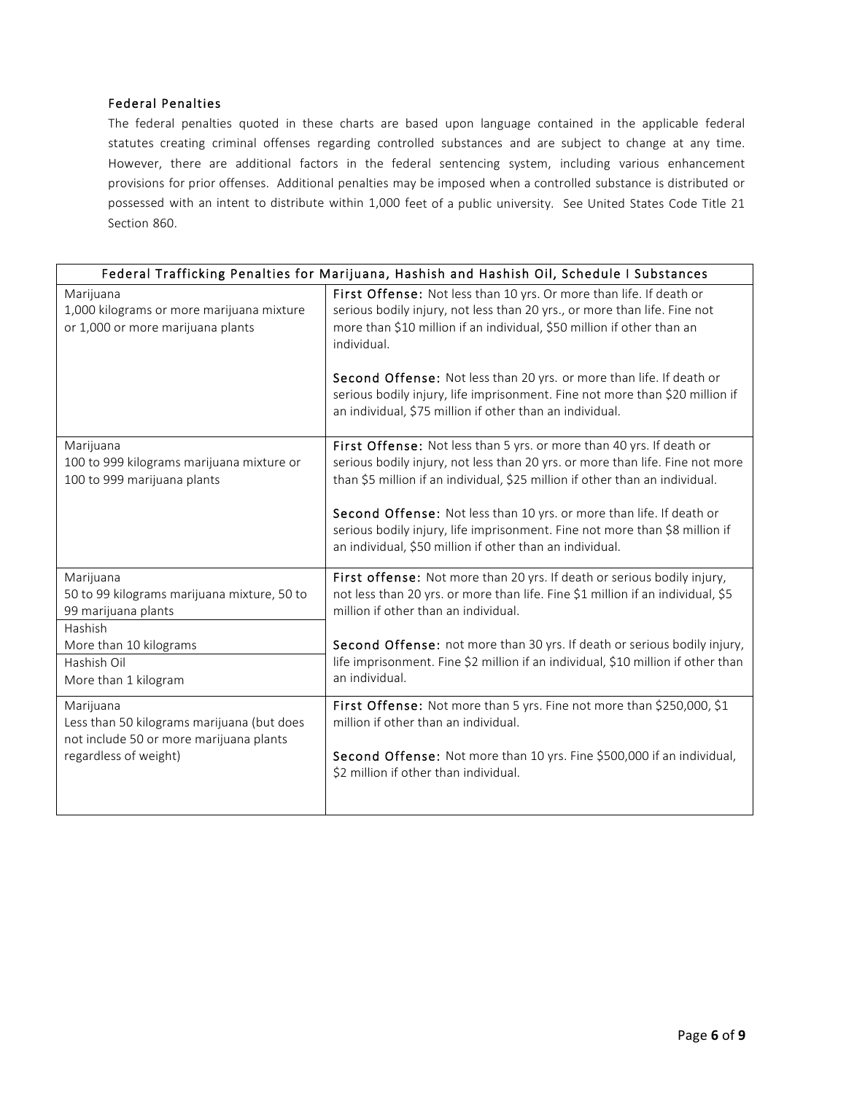# Federal Penalties

The federal penalties quoted in these charts are based upon language contained in the applicable federal statutes creating criminal offenses regarding controlled substances and are subject to change at any time. However, there are additional factors in the federal sentencing system, including various enhancement provisions for prior offenses. Additional penalties may be imposed when a controlled substance is distributed or possessed with an intent to distribute within 1,000 feet of a public university. See United States Code Title 21 Section 860.

| Federal Trafficking Penalties for Marijuana, Hashish and Hashish Oil, Schedule I Substances                                 |                                                                                                                                                                                                                                                                                                                                                                                                                                                          |  |  |  |  |
|-----------------------------------------------------------------------------------------------------------------------------|----------------------------------------------------------------------------------------------------------------------------------------------------------------------------------------------------------------------------------------------------------------------------------------------------------------------------------------------------------------------------------------------------------------------------------------------------------|--|--|--|--|
| Marijuana<br>1,000 kilograms or more marijuana mixture<br>or 1,000 or more marijuana plants                                 | First Offense: Not less than 10 yrs. Or more than life. If death or<br>serious bodily injury, not less than 20 yrs., or more than life. Fine not<br>more than \$10 million if an individual, \$50 million if other than an<br>individual.<br>Second Offense: Not less than 20 yrs. or more than life. If death or                                                                                                                                        |  |  |  |  |
|                                                                                                                             | serious bodily injury, life imprisonment. Fine not more than \$20 million if<br>an individual, \$75 million if other than an individual.                                                                                                                                                                                                                                                                                                                 |  |  |  |  |
| Marijuana<br>100 to 999 kilograms marijuana mixture or<br>100 to 999 marijuana plants                                       | First Offense: Not less than 5 yrs. or more than 40 yrs. If death or<br>serious bodily injury, not less than 20 yrs. or more than life. Fine not more<br>than \$5 million if an individual, \$25 million if other than an individual.<br>Second Offense: Not less than 10 yrs. or more than life. If death or<br>serious bodily injury, life imprisonment. Fine not more than \$8 million if<br>an individual, \$50 million if other than an individual. |  |  |  |  |
| Marijuana<br>50 to 99 kilograms marijuana mixture, 50 to<br>99 marijuana plants<br>Hashish                                  | First offense: Not more than 20 yrs. If death or serious bodily injury,<br>not less than 20 yrs. or more than life. Fine \$1 million if an individual, \$5<br>million if other than an individual.                                                                                                                                                                                                                                                       |  |  |  |  |
| More than 10 kilograms<br>Hashish Oil<br>More than 1 kilogram                                                               | Second Offense: not more than 30 yrs. If death or serious bodily injury,<br>life imprisonment. Fine \$2 million if an individual, \$10 million if other than<br>an individual.                                                                                                                                                                                                                                                                           |  |  |  |  |
| Marijuana<br>Less than 50 kilograms marijuana (but does<br>not include 50 or more marijuana plants<br>regardless of weight) | First Offense: Not more than 5 yrs. Fine not more than \$250,000, \$1<br>million if other than an individual.<br>Second Offense: Not more than 10 yrs. Fine \$500,000 if an individual,<br>\$2 million if other than individual.                                                                                                                                                                                                                         |  |  |  |  |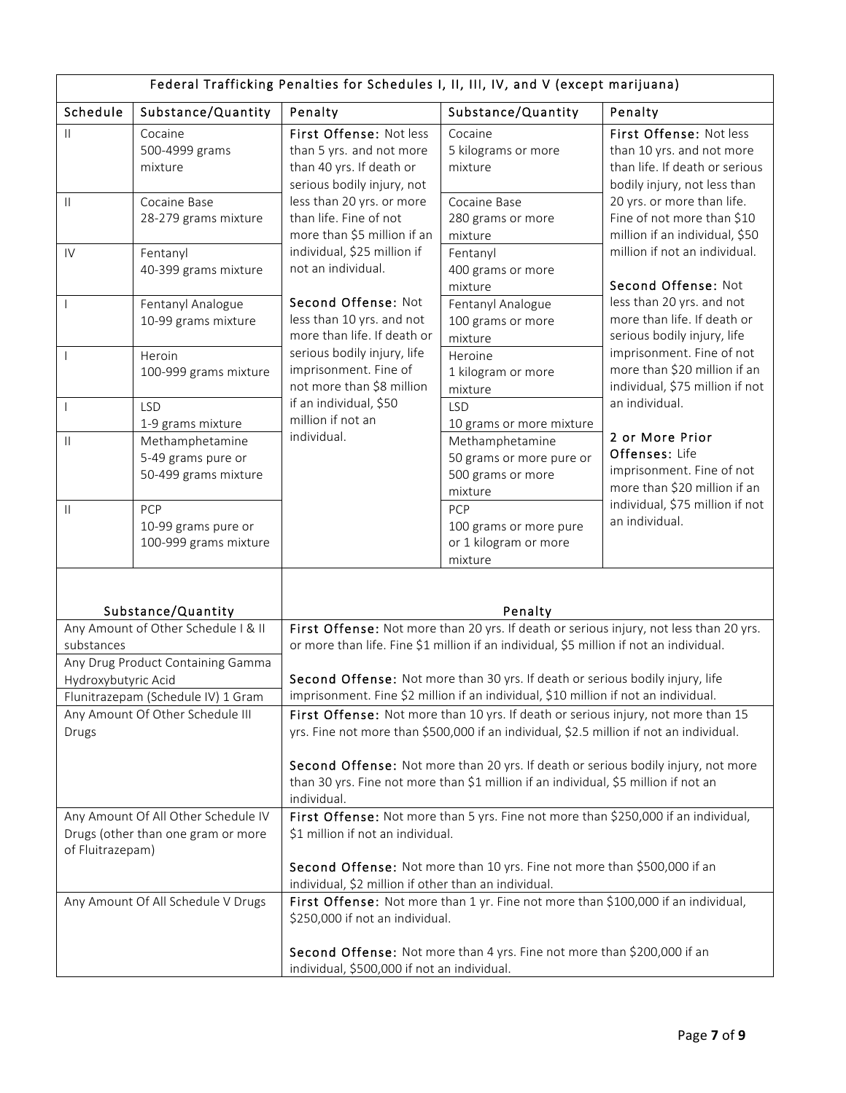| Federal Trafficking Penalties for Schedules I, II, III, IV, and V (except marijuana)           |                                                                                                                        |                                                                                                                                                                                                                                                             |                                                                             |                                                                                                                        |  |
|------------------------------------------------------------------------------------------------|------------------------------------------------------------------------------------------------------------------------|-------------------------------------------------------------------------------------------------------------------------------------------------------------------------------------------------------------------------------------------------------------|-----------------------------------------------------------------------------|------------------------------------------------------------------------------------------------------------------------|--|
| Schedule                                                                                       | Substance/Quantity                                                                                                     | Penalty                                                                                                                                                                                                                                                     | Substance/Quantity                                                          | Penalty                                                                                                                |  |
| $\mathbf{H}$                                                                                   | Cocaine<br>500-4999 grams<br>mixture                                                                                   | First Offense: Not less<br>than 5 yrs. and not more<br>than 40 yrs. If death or<br>serious bodily injury, not                                                                                                                                               | Cocaine<br>5 kilograms or more<br>mixture                                   | First Offense: Not less<br>than 10 yrs. and not more<br>than life. If death or serious<br>bodily injury, not less than |  |
| $\mathbf{H}$                                                                                   | Cocaine Base<br>28-279 grams mixture                                                                                   | less than 20 yrs. or more<br>than life. Fine of not<br>more than \$5 million if an                                                                                                                                                                          | Cocaine Base<br>280 grams or more<br>mixture                                | 20 yrs. or more than life.<br>Fine of not more than \$10<br>million if an individual, \$50                             |  |
| IV                                                                                             | Fentanyl<br>40-399 grams mixture                                                                                       | individual, \$25 million if<br>not an individual.                                                                                                                                                                                                           | Fentanyl<br>400 grams or more<br>mixture                                    | million if not an individual.<br>Second Offense: Not                                                                   |  |
| $\overline{\phantom{a}}$                                                                       | Fentanyl Analogue<br>10-99 grams mixture                                                                               | Second Offense: Not<br>less than 10 yrs. and not<br>more than life. If death or                                                                                                                                                                             | Fentanyl Analogue<br>100 grams or more<br>mixture                           | less than 20 yrs. and not<br>more than life. If death or<br>serious bodily injury, life                                |  |
|                                                                                                | Heroin<br>100-999 grams mixture                                                                                        | serious bodily injury, life<br>imprisonment. Fine of<br>not more than \$8 million                                                                                                                                                                           | Heroine<br>1 kilogram or more<br>mixture                                    | imprisonment. Fine of not<br>more than \$20 million if an<br>individual, \$75 million if not                           |  |
| $\mathbf{I}$                                                                                   | <b>LSD</b><br>1-9 grams mixture                                                                                        | if an individual, \$50<br>million if not an                                                                                                                                                                                                                 | <b>LSD</b><br>10 grams or more mixture                                      | an individual.                                                                                                         |  |
| Ш                                                                                              | Methamphetamine<br>5-49 grams pure or<br>50-499 grams mixture                                                          | individual.                                                                                                                                                                                                                                                 | Methamphetamine<br>50 grams or more pure or<br>500 grams or more<br>mixture | 2 or More Prior<br>Offenses: Life<br>imprisonment. Fine of not<br>more than \$20 million if an                         |  |
| $\mathbf{H}$                                                                                   | PCP<br>10-99 grams pure or<br>100-999 grams mixture                                                                    |                                                                                                                                                                                                                                                             | PCP<br>100 grams or more pure<br>or 1 kilogram or more<br>mixture           | individual, \$75 million if not<br>an individual.                                                                      |  |
| Substance/Quantity<br>Any Amount of Other Schedule   & II<br>substances                        |                                                                                                                        | Penalty<br>First Offense: Not more than 20 yrs. If death or serious injury, not less than 20 yrs.<br>or more than life. Fine \$1 million if an individual, \$5 million if not an individual.                                                                |                                                                             |                                                                                                                        |  |
| Any Drug Product Containing Gamma<br>Hydroxybutyric Acid<br>Flunitrazepam (Schedule IV) 1 Gram |                                                                                                                        | Second Offense: Not more than 30 yrs. If death or serious bodily injury, life<br>imprisonment. Fine \$2 million if an individual, \$10 million if not an individual.                                                                                        |                                                                             |                                                                                                                        |  |
| Drugs                                                                                          | Any Amount Of Other Schedule III                                                                                       | First Offense: Not more than 10 yrs. If death or serious injury, not more than 15<br>yrs. Fine not more than \$500,000 if an individual, \$2.5 million if not an individual.                                                                                |                                                                             |                                                                                                                        |  |
|                                                                                                |                                                                                                                        | Second Offense: Not more than 20 yrs. If death or serious bodily injury, not more<br>than 30 yrs. Fine not more than \$1 million if an individual, \$5 million if not an<br>individual.                                                                     |                                                                             |                                                                                                                        |  |
| of Fluitrazepam)                                                                               | Any Amount Of All Other Schedule IV<br>Drugs (other than one gram or more                                              | First Offense: Not more than 5 yrs. Fine not more than \$250,000 if an individual,<br>\$1 million if not an individual.<br>Second Offense: Not more than 10 yrs. Fine not more than \$500,000 if an<br>individual, \$2 million if other than an individual. |                                                                             |                                                                                                                        |  |
|                                                                                                | Any Amount Of All Schedule V Drugs                                                                                     | First Offense: Not more than 1 yr. Fine not more than \$100,000 if an individual,<br>\$250,000 if not an individual.                                                                                                                                        |                                                                             |                                                                                                                        |  |
|                                                                                                | Second Offense: Not more than 4 yrs. Fine not more than \$200,000 if an<br>individual, \$500,000 if not an individual. |                                                                                                                                                                                                                                                             |                                                                             |                                                                                                                        |  |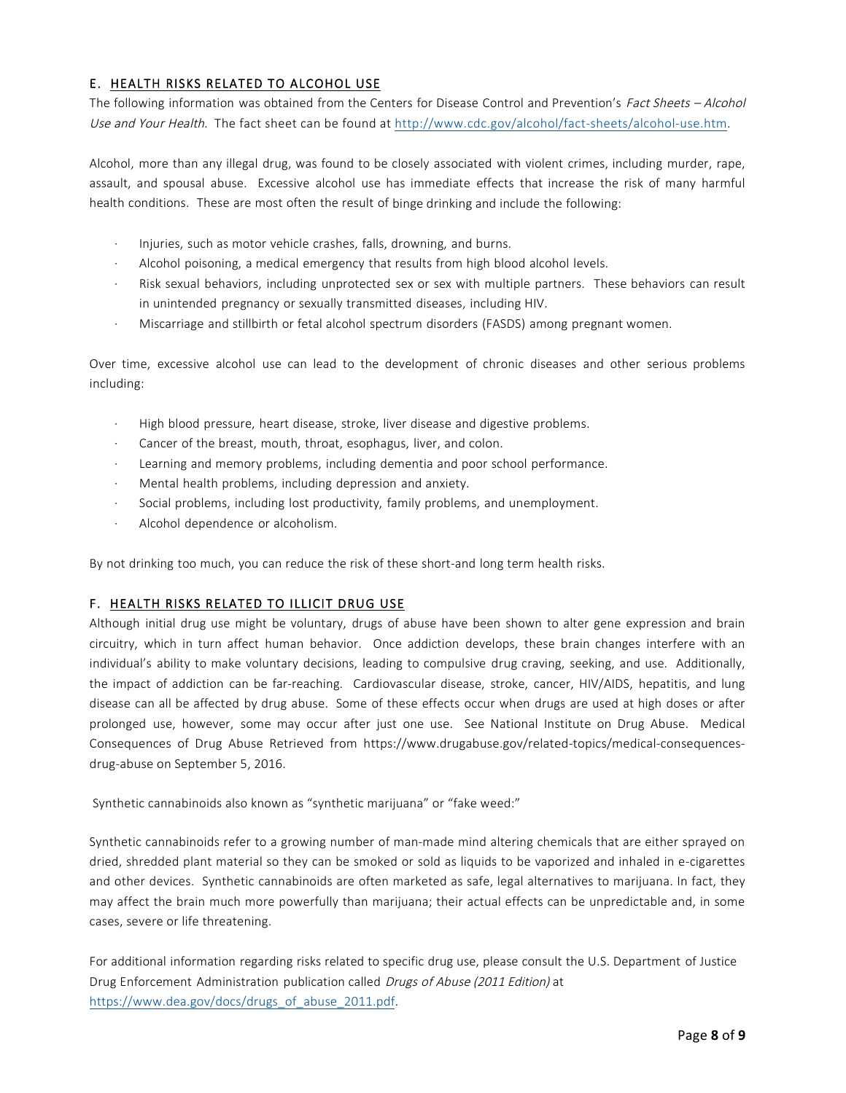# E. HEALTH RISKS RELATED TO ALCOHOL USE

The following information was obtained from the Centers for Disease Control and Prevention's Fact Sheets - Alcohol Use and Your Health. The fact sheet can be found at http://www.cdc.gov/alcohol/fact-sheets/alcohol-use.htm.

Alcohol, more than any illegal drug, was found to be closely associated with violent crimes, including murder, rape, assault, and spousal abuse. Excessive alcohol use has immediate effects that increase the risk of many harmful health conditions. These are most often the result of binge drinking and include the following:

- · Injuries, such as motor vehicle crashes, falls, drowning, and burns.
- Alcohol poisoning, a medical emergency that results from high blood alcohol levels.
- Risk sexual behaviors, including unprotected sex or sex with multiple partners. These behaviors can result in unintended pregnancy or sexually transmitted diseases, including HIV.
- · Miscarriage and stillbirth or fetal alcohol spectrum disorders (FASDS) among pregnant women.

Over time, excessive alcohol use can lead to the development of chronic diseases and other serious problems including:

- · High blood pressure, heart disease, stroke, liver disease and digestive problems.
- Cancer of the breast, mouth, throat, esophagus, liver, and colon.
- Learning and memory problems, including dementia and poor school performance.
- Mental health problems, including depression and anxiety.
- · Social problems, including lost productivity, family problems, and unemployment.
- Alcohol dependence or alcoholism.

By not drinking too much, you can reduce the risk of these short-and long term health risks.

## F. HEALTH RISKS RELATED TO ILLICIT DRUG USE

Although initial drug use might be voluntary, drugs of abuse have been shown to alter gene expression and brain circuitry, which in turn affect human behavior. Once addiction develops, these brain changes interfere with an individual's ability to make voluntary decisions, leading to compulsive drug craving, seeking, and use. Additionally, the impact of addiction can be far-reaching. Cardiovascular disease, stroke, cancer, HIV/AIDS, hepatitis, and lung disease can all be affected by drug abuse. Some of these effects occur when drugs are used at high doses or after prolonged use, however, some may occur after just one use. See National Institute on Drug Abuse. Medical Consequences of Drug Abuse Retrieved from https://www.drugabuse.gov/related-topics/medical-consequencesdrug-abuse on September 5, 2016.

Synthetic cannabinoids also known as "synthetic marijuana" or "fake weed:"

Synthetic cannabinoids refer to a growing number of man-made mind altering chemicals that are either sprayed on dried, shredded plant material so they can be smoked or sold as liquids to be vaporized and inhaled in e-cigarettes and other devices. Synthetic cannabinoids are often marketed as safe, legal alternatives to marijuana. In fact, they may affect the brain much more powerfully than marijuana; their actual effects can be unpredictable and, in some cases, severe or life threatening.

For additional information regarding risks related to specific drug use, please consult the U.S. Department of Justice Drug Enforcement Administration publication called *Drugs of Abuse (2011 Edition)* at https://www.dea.gov/docs/drugs\_of\_abuse\_2011.pdf.